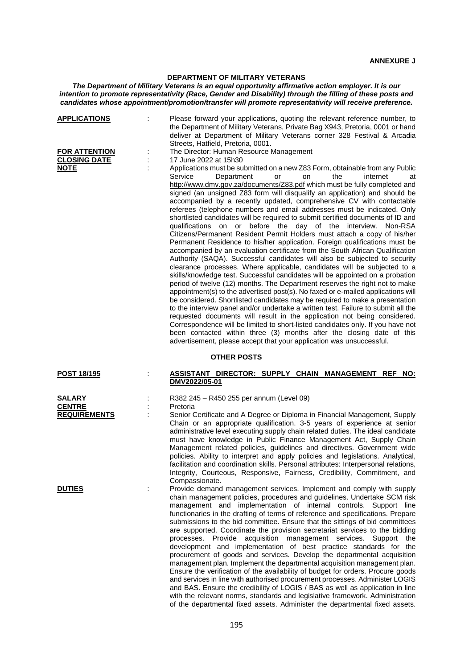## **ANNEXURE J**

## **DEPARTMENT OF MILITARY VETERANS**

*The Department of Military Veterans is an equal opportunity affirmative action employer. It is our intention to promote representativity (Race, Gender and Disability) through the filling of these posts and candidates whose appointment/promotion/transfer will promote representativity will receive preference.*

| <b>APPLICATIONS</b>                                        | Please forward your applications, quoting the relevant reference number, to<br>the Department of Military Veterans, Private Bag X943, Pretoria, 0001 or hand<br>deliver at Department of Military Veterans corner 328 Festival & Arcadia<br>Streets, Hatfield, Pretoria, 0001.                                                                                                                                                                                                                                                                                                                                                                                                                                                                                                                                                                                                                                                                                                                                                                                                                                                                                                                                                                                                                                                                                                                                                                                                                                                                                                                                                                                                                                                                            |
|------------------------------------------------------------|-----------------------------------------------------------------------------------------------------------------------------------------------------------------------------------------------------------------------------------------------------------------------------------------------------------------------------------------------------------------------------------------------------------------------------------------------------------------------------------------------------------------------------------------------------------------------------------------------------------------------------------------------------------------------------------------------------------------------------------------------------------------------------------------------------------------------------------------------------------------------------------------------------------------------------------------------------------------------------------------------------------------------------------------------------------------------------------------------------------------------------------------------------------------------------------------------------------------------------------------------------------------------------------------------------------------------------------------------------------------------------------------------------------------------------------------------------------------------------------------------------------------------------------------------------------------------------------------------------------------------------------------------------------------------------------------------------------------------------------------------------------|
| <b>FOR ATTENTION</b><br><b>CLOSING DATE</b><br><b>NOTE</b> | The Director: Human Resource Management<br>17 June 2022 at 15h30<br>Applications must be submitted on a new Z83 Form, obtainable from any Public<br>Service<br>Department<br>the<br>internet<br>or<br>on<br>at<br>http://www.dmv.gov.za/documents/Z83.pdf which must be fully completed and<br>signed (an unsigned Z83 form will disqualify an application) and should be<br>accompanied by a recently updated, comprehensive CV with contactable<br>referees (telephone numbers and email addresses must be indicated. Only<br>shortlisted candidates will be required to submit certified documents of ID and<br>qualifications on or before the day of the interview.<br>Non-RSA<br>Citizens/Permanent Resident Permit Holders must attach a copy of his/her<br>Permanent Residence to his/her application. Foreign qualifications must be<br>accompanied by an evaluation certificate from the South African Qualification<br>Authority (SAQA). Successful candidates will also be subjected to security<br>clearance processes. Where applicable, candidates will be subjected to a<br>skills/knowledge test. Successful candidates will be appointed on a probation<br>period of twelve (12) months. The Department reserves the right not to make<br>appointment(s) to the advertised post(s). No faxed or e-mailed applications will<br>be considered. Shortlisted candidates may be required to make a presentation<br>to the interview panel and/or undertake a written test. Failure to submit all the<br>requested documents will result in the application not being considered.<br>Correspondence will be limited to short-listed candidates only. If you have not<br>been contacted within three (3) months after the closing date of this |
|                                                            | advertisement, please accept that your application was unsuccessful.<br><b>OTHER POSTS</b>                                                                                                                                                                                                                                                                                                                                                                                                                                                                                                                                                                                                                                                                                                                                                                                                                                                                                                                                                                                                                                                                                                                                                                                                                                                                                                                                                                                                                                                                                                                                                                                                                                                                |
| <b>POST 18/195</b>                                         | ASSISTANT DIRECTOR: SUPPLY CHAIN MANAGEMENT REF NO:<br>DMV2022/05-01                                                                                                                                                                                                                                                                                                                                                                                                                                                                                                                                                                                                                                                                                                                                                                                                                                                                                                                                                                                                                                                                                                                                                                                                                                                                                                                                                                                                                                                                                                                                                                                                                                                                                      |
| <b>SALARY</b><br><b>CENTRE</b><br><b>REQUIREMENTS</b>      | R382 245 - R450 255 per annum (Level 09)<br>Pretoria<br>Senior Certificate and A Degree or Diploma in Financial Management, Supply<br>Chain or an appropriate qualification. 3-5 years of experience at senior<br>administrative level executing supply chain related duties. The ideal candidate<br>must have knowledge in Public Finance Management Act, Supply Chain<br>Management related policies, guidelines and directives. Government wide<br>policies. Ability to interpret and apply policies and legislations. Analytical,<br>facilitation and coordination skills. Personal attributes: Interpersonal relations,<br>Integrity, Courteous, Responsive, Fairness, Credibility, Commitment, and                                                                                                                                                                                                                                                                                                                                                                                                                                                                                                                                                                                                                                                                                                                                                                                                                                                                                                                                                                                                                                                  |
| <b>DUTIES</b>                                              | Compassionate.<br>Provide demand management services. Implement and comply with supply<br>chain management policies, procedures and guidelines. Undertake SCM risk<br>management and implementation of internal controls. Support line<br>functionaries in the drafting of terms of reference and specifications. Prepare<br>submissions to the bid committee. Ensure that the sittings of bid committees<br>are supported. Coordinate the provision secretariat services to the bidding<br>processes.<br>acquisition management services.<br>Support<br>Provide<br>the<br>development and implementation of best practice standards for the<br>procurement of goods and services. Develop the departmental acquisition<br>management plan. Implement the departmental acquisition management plan.<br>Ensure the verification of the availability of budget for orders. Procure goods<br>and services in line with authorised procurement processes. Administer LOGIS<br>and BAS. Ensure the credibility of LOGIS / BAS as well as application in line                                                                                                                                                                                                                                                                                                                                                                                                                                                                                                                                                                                                                                                                                                   |

with the relevant norms, standards and legislative framework. Administration of the departmental fixed assets. Administer the departmental fixed assets.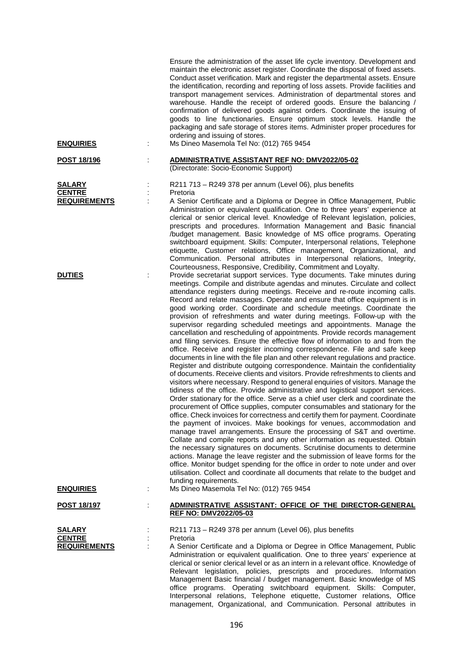| <b>ENQUIRIES</b>                               |   | Ensure the administration of the asset life cycle inventory. Development and<br>maintain the electronic asset register. Coordinate the disposal of fixed assets.<br>Conduct asset verification. Mark and register the departmental assets. Ensure<br>the identification, recording and reporting of loss assets. Provide facilities and<br>transport management services. Administration of departmental stores and<br>warehouse. Handle the receipt of ordered goods. Ensure the balancing /<br>confirmation of delivered goods against orders. Coordinate the issuing of<br>goods to line functionaries. Ensure optimum stock levels. Handle the<br>packaging and safe storage of stores items. Administer proper procedures for<br>ordering and issuing of stores.<br>Ms Dineo Masemola Tel No: (012) 765 9454                                                                                                                                                                                                                                                                                                                                                                                                                                                                                                                                                                                                                                                                                                                                                                                                                                                                                                                                                                                                                                                                                                                                                                                                                                                      |
|------------------------------------------------|---|------------------------------------------------------------------------------------------------------------------------------------------------------------------------------------------------------------------------------------------------------------------------------------------------------------------------------------------------------------------------------------------------------------------------------------------------------------------------------------------------------------------------------------------------------------------------------------------------------------------------------------------------------------------------------------------------------------------------------------------------------------------------------------------------------------------------------------------------------------------------------------------------------------------------------------------------------------------------------------------------------------------------------------------------------------------------------------------------------------------------------------------------------------------------------------------------------------------------------------------------------------------------------------------------------------------------------------------------------------------------------------------------------------------------------------------------------------------------------------------------------------------------------------------------------------------------------------------------------------------------------------------------------------------------------------------------------------------------------------------------------------------------------------------------------------------------------------------------------------------------------------------------------------------------------------------------------------------------------------------------------------------------------------------------------------------------|
| <b>POST 18/196</b>                             |   | ADMINISTRATIVE ASSISTANT REF NO: DMV2022/05-02                                                                                                                                                                                                                                                                                                                                                                                                                                                                                                                                                                                                                                                                                                                                                                                                                                                                                                                                                                                                                                                                                                                                                                                                                                                                                                                                                                                                                                                                                                                                                                                                                                                                                                                                                                                                                                                                                                                                                                                                                         |
|                                                |   | (Directorate: Socio-Economic Support)                                                                                                                                                                                                                                                                                                                                                                                                                                                                                                                                                                                                                                                                                                                                                                                                                                                                                                                                                                                                                                                                                                                                                                                                                                                                                                                                                                                                                                                                                                                                                                                                                                                                                                                                                                                                                                                                                                                                                                                                                                  |
| <b>SALARY</b><br><b>CENTRE</b>                 |   | R211 713 - R249 378 per annum (Level 06), plus benefits<br>Pretoria                                                                                                                                                                                                                                                                                                                                                                                                                                                                                                                                                                                                                                                                                                                                                                                                                                                                                                                                                                                                                                                                                                                                                                                                                                                                                                                                                                                                                                                                                                                                                                                                                                                                                                                                                                                                                                                                                                                                                                                                    |
| <b>REQUIREMENTS</b>                            |   | A Senior Certificate and a Diploma or Degree in Office Management, Public<br>Administration or equivalent qualification. One to three years' experience at<br>clerical or senior clerical level. Knowledge of Relevant legislation, policies,<br>prescripts and procedures. Information Management and Basic financial<br>/budget management. Basic knowledge of MS office programs. Operating<br>switchboard equipment. Skills: Computer, Interpersonal relations, Telephone<br>etiquette, Customer relations, Office management, Organizational, and<br>Communication. Personal attributes in Interpersonal relations, Integrity,<br>Courteousness, Responsive, Credibility, Commitment and Loyalty.                                                                                                                                                                                                                                                                                                                                                                                                                                                                                                                                                                                                                                                                                                                                                                                                                                                                                                                                                                                                                                                                                                                                                                                                                                                                                                                                                                 |
| <b>DUTIES</b>                                  | İ | Provide secretariat support services. Type documents. Take minutes during<br>meetings. Compile and distribute agendas and minutes. Circulate and collect<br>attendance registers during meetings. Receive and re-route incoming calls.<br>Record and relate massages. Operate and ensure that office equipment is in<br>good working order. Coordinate and schedule meetings. Coordinate the<br>provision of refreshments and water during meetings. Follow-up with the<br>supervisor regarding scheduled meetings and appointments. Manage the<br>cancellation and rescheduling of appointments. Provide records management<br>and filing services. Ensure the effective flow of information to and from the<br>office. Receive and register incoming correspondence. File and safe keep<br>documents in line with the file plan and other relevant regulations and practice.<br>Register and distribute outgoing correspondence. Maintain the confidentiality<br>of documents. Receive clients and visitors. Provide refreshments to clients and<br>visitors where necessary. Respond to general enquiries of visitors. Manage the<br>tidiness of the office. Provide administrative and logistical support services.<br>Order stationary for the office. Serve as a chief user clerk and coordinate the<br>procurement of Office supplies, computer consumables and stationary for the<br>office. Check invoices for correctness and certify them for payment. Coordinate<br>the payment of invoices. Make bookings for venues, accommodation and<br>manage travel arrangements. Ensure the processing of S&T and overtime.<br>Collate and compile reports and any other information as requested. Obtain<br>the necessary signatures on documents. Scrutinise documents to determine<br>actions. Manage the leave register and the submission of leave forms for the<br>office. Monitor budget spending for the office in order to note under and over<br>utilisation. Collect and coordinate all documents that relate to the budget and<br>funding requirements. |
| <b>ENQUIRIES</b>                               |   | Ms Dineo Masemola Tel No: (012) 765 9454                                                                                                                                                                                                                                                                                                                                                                                                                                                                                                                                                                                                                                                                                                                                                                                                                                                                                                                                                                                                                                                                                                                                                                                                                                                                                                                                                                                                                                                                                                                                                                                                                                                                                                                                                                                                                                                                                                                                                                                                                               |
| <u>POST 18/197</u>                             |   | ADMINISTRATIVE ASSISTANT: OFFICE OF THE DIRECTOR-GENERAL<br><b>REF NO: DMV2022/05-03</b>                                                                                                                                                                                                                                                                                                                                                                                                                                                                                                                                                                                                                                                                                                                                                                                                                                                                                                                                                                                                                                                                                                                                                                                                                                                                                                                                                                                                                                                                                                                                                                                                                                                                                                                                                                                                                                                                                                                                                                               |
| SALARY<br><b>CENTRE</b><br><b>REQUIREMENTS</b> |   | R211 713 - R249 378 per annum (Level 06), plus benefits<br>Pretoria<br>A Senior Certificate and a Diploma or Degree in Office Management, Public<br>Administration or equivalent qualification. One to three years' experience at<br>clerical or senior clerical level or as an intern in a relevant office. Knowledge of<br>Relevant legislation, policies, prescripts and procedures. Information<br>Management Basic financial / budget management. Basic knowledge of MS<br>office programs. Operating switchboard equipment. Skills: Computer,<br>Interpersonal relations, Telephone etiquette, Customer relations, Office                                                                                                                                                                                                                                                                                                                                                                                                                                                                                                                                                                                                                                                                                                                                                                                                                                                                                                                                                                                                                                                                                                                                                                                                                                                                                                                                                                                                                                        |

management, Organizational, and Communication. Personal attributes in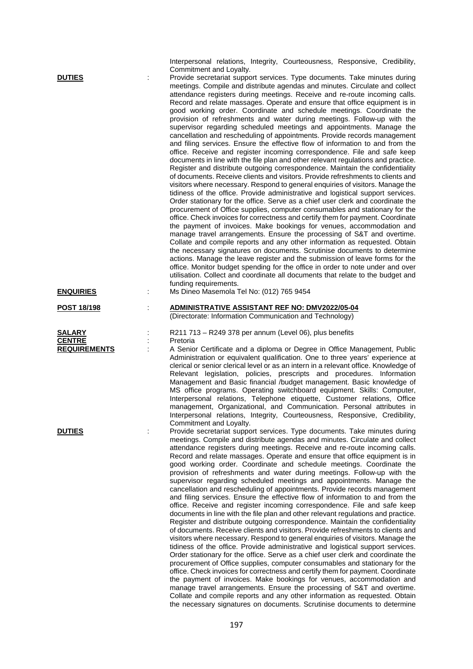|                                                       | Interpersonal relations, Integrity, Courteousness, Responsive, Credibility,<br>Commitment and Loyalty.                                                                                                                                                                                                                                                                                                                                                                                                                                                                                                                                                                                                                                                                                                                                                                                                                                                                                                                                                                                                                                                                                                                                                                                                                                                                                                                                                                                                                                                                                                                                                                                                                                                                                                                                                                                                                                                                                                                                        |
|-------------------------------------------------------|-----------------------------------------------------------------------------------------------------------------------------------------------------------------------------------------------------------------------------------------------------------------------------------------------------------------------------------------------------------------------------------------------------------------------------------------------------------------------------------------------------------------------------------------------------------------------------------------------------------------------------------------------------------------------------------------------------------------------------------------------------------------------------------------------------------------------------------------------------------------------------------------------------------------------------------------------------------------------------------------------------------------------------------------------------------------------------------------------------------------------------------------------------------------------------------------------------------------------------------------------------------------------------------------------------------------------------------------------------------------------------------------------------------------------------------------------------------------------------------------------------------------------------------------------------------------------------------------------------------------------------------------------------------------------------------------------------------------------------------------------------------------------------------------------------------------------------------------------------------------------------------------------------------------------------------------------------------------------------------------------------------------------------------------------|
| <b>DUTIES</b>                                         | Provide secretariat support services. Type documents. Take minutes during<br>meetings. Compile and distribute agendas and minutes. Circulate and collect<br>attendance registers during meetings. Receive and re-route incoming calls.<br>Record and relate massages. Operate and ensure that office equipment is in<br>good working order. Coordinate and schedule meetings. Coordinate the<br>provision of refreshments and water during meetings. Follow-up with the<br>supervisor regarding scheduled meetings and appointments. Manage the<br>cancellation and rescheduling of appointments. Provide records management<br>and filing services. Ensure the effective flow of information to and from the<br>office. Receive and register incoming correspondence. File and safe keep<br>documents in line with the file plan and other relevant regulations and practice.<br>Register and distribute outgoing correspondence. Maintain the confidentiality<br>of documents. Receive clients and visitors. Provide refreshments to clients and<br>visitors where necessary. Respond to general enquiries of visitors. Manage the<br>tidiness of the office. Provide administrative and logistical support services.<br>Order stationary for the office. Serve as a chief user clerk and coordinate the<br>procurement of Office supplies, computer consumables and stationary for the<br>office. Check invoices for correctness and certify them for payment. Coordinate<br>the payment of invoices. Make bookings for venues, accommodation and<br>manage travel arrangements. Ensure the processing of S&T and overtime.<br>Collate and compile reports and any other information as requested. Obtain<br>the necessary signatures on documents. Scrutinise documents to determine<br>actions. Manage the leave register and the submission of leave forms for the<br>office. Monitor budget spending for the office in order to note under and over<br>utilisation. Collect and coordinate all documents that relate to the budget and |
| <b>ENQUIRIES</b>                                      | funding requirements.<br>Ms Dineo Masemola Tel No: (012) 765 9454                                                                                                                                                                                                                                                                                                                                                                                                                                                                                                                                                                                                                                                                                                                                                                                                                                                                                                                                                                                                                                                                                                                                                                                                                                                                                                                                                                                                                                                                                                                                                                                                                                                                                                                                                                                                                                                                                                                                                                             |
| <u>POST 18/198</u>                                    | ADMINISTRATIVE ASSISTANT REF NO: DMV2022/05-04<br>(Directorate: Information Communication and Technology)                                                                                                                                                                                                                                                                                                                                                                                                                                                                                                                                                                                                                                                                                                                                                                                                                                                                                                                                                                                                                                                                                                                                                                                                                                                                                                                                                                                                                                                                                                                                                                                                                                                                                                                                                                                                                                                                                                                                     |
| <b>SALARY</b><br><b>CENTRE</b><br><b>REQUIREMENTS</b> | R211 713 - R249 378 per annum (Level 06), plus benefits<br>Pretoria<br>A Senior Certificate and a diploma or Degree in Office Management, Public<br>Administration or equivalent qualification. One to three years' experience at<br>clerical or senior clerical level or as an intern in a relevant office. Knowledge of<br>Relevant legislation, policies, prescripts and procedures. Information<br>Management and Basic financial /budget management. Basic knowledge of<br>MS office programs. Operating switchboard equipment. Skills: Computer,<br>Interpersonal relations, Telephone etiquette, Customer relations, Office<br>management, Organizational, and Communication. Personal attributes in<br>Interpersonal relations, Integrity, Courteousness, Responsive, Credibility,<br>Commitment and Loyalty.                                                                                                                                                                                                                                                                                                                                                                                                                                                                                                                                                                                                                                                                                                                                                                                                                                                                                                                                                                                                                                                                                                                                                                                                                         |
| <b>DUTIES</b>                                         | Provide secretariat support services. Type documents. Take minutes during<br>meetings. Compile and distribute agendas and minutes. Circulate and collect<br>attendance registers during meetings. Receive and re-route incoming calls.<br>Record and relate massages. Operate and ensure that office equipment is in<br>good working order. Coordinate and schedule meetings. Coordinate the<br>provision of refreshments and water during meetings. Follow-up with the<br>supervisor regarding scheduled meetings and appointments. Manage the<br>cancellation and rescheduling of appointments. Provide records management<br>and filing services. Ensure the effective flow of information to and from the<br>office. Receive and register incoming correspondence. File and safe keep<br>documents in line with the file plan and other relevant regulations and practice.<br>Register and distribute outgoing correspondence. Maintain the confidentiality<br>of documents. Receive clients and visitors. Provide refreshments to clients and<br>visitors where necessary. Respond to general enquiries of visitors. Manage the<br>tidiness of the office. Provide administrative and logistical support services.<br>Order stationary for the office. Serve as a chief user clerk and coordinate the<br>procurement of Office supplies, computer consumables and stationary for the<br>office. Check invoices for correctness and certify them for payment. Coordinate<br>the payment of invoices. Make bookings for venues, accommodation and<br>manage travel arrangements. Ensure the processing of S&T and overtime.<br>Collate and compile reports and any other information as requested. Obtain<br>the necessary signatures on documents. Scrutinise documents to determine                                                                                                                                                                                                                                                      |